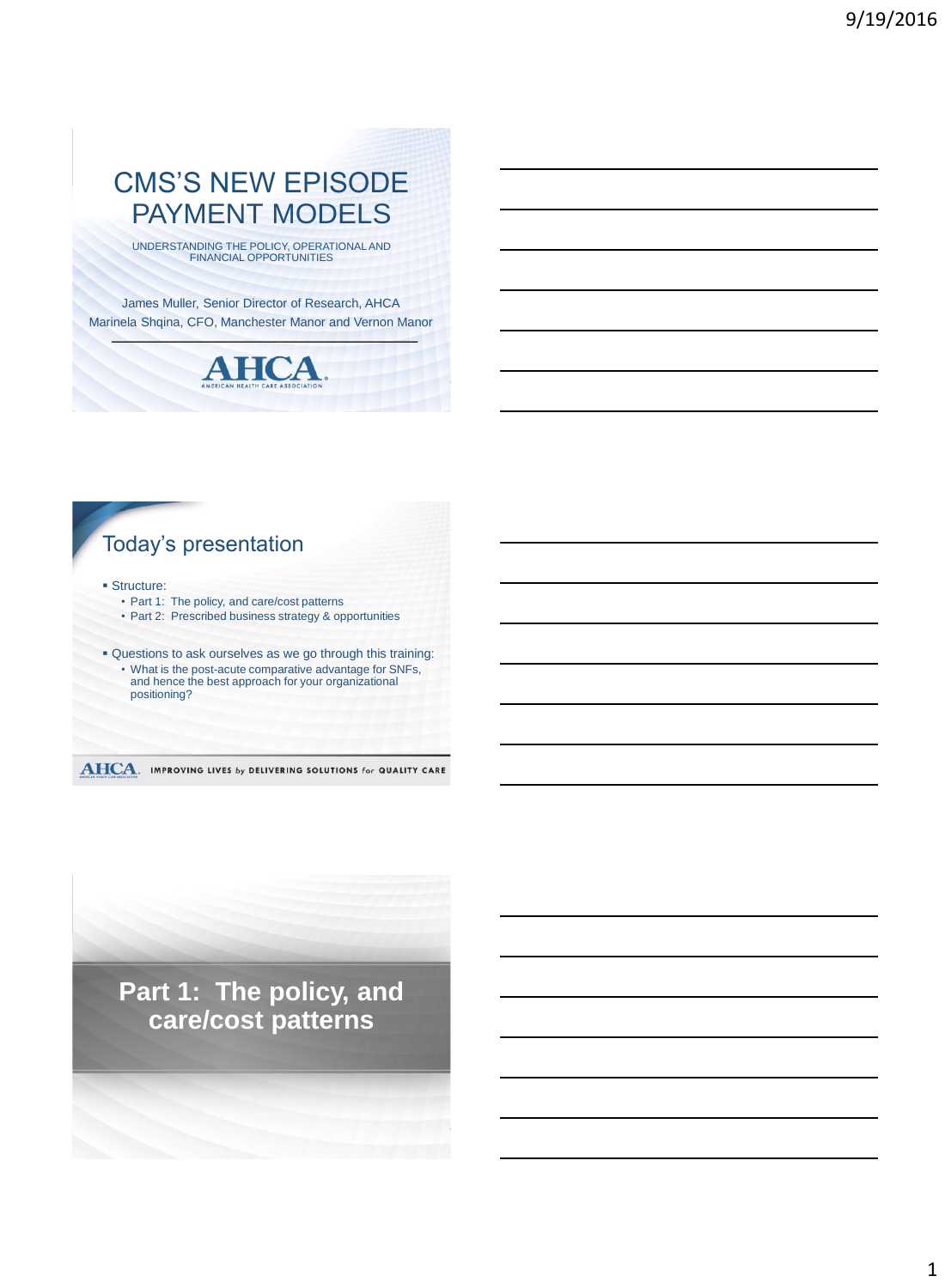# CMS'S NEW EPISODE PAYMENT MODELS

UNDERSTANDING THE POLICY, OPERATIONAL AND FINANCIAL OPPORTUNITIES

James Muller, Senior Director of Research, AHCA Marinela Shqina, CFO, Manchester Manor and Vernon Manor



# Today's presentation

**Structure:** 

- Part 1: The policy, and care/cost patterns • Part 2: Prescribed business strategy & opportunities
- 
- Questions to ask ourselves as we go through this training: • What is the post-acute comparative advantage for SNFs, and hence the best approach for your organizational positioning?

#### **AHCA.** IMPROVING LIVES by DELIVERING SOLUTIONS for QUALITY CARE

**Part 1: The policy, and care/cost patterns**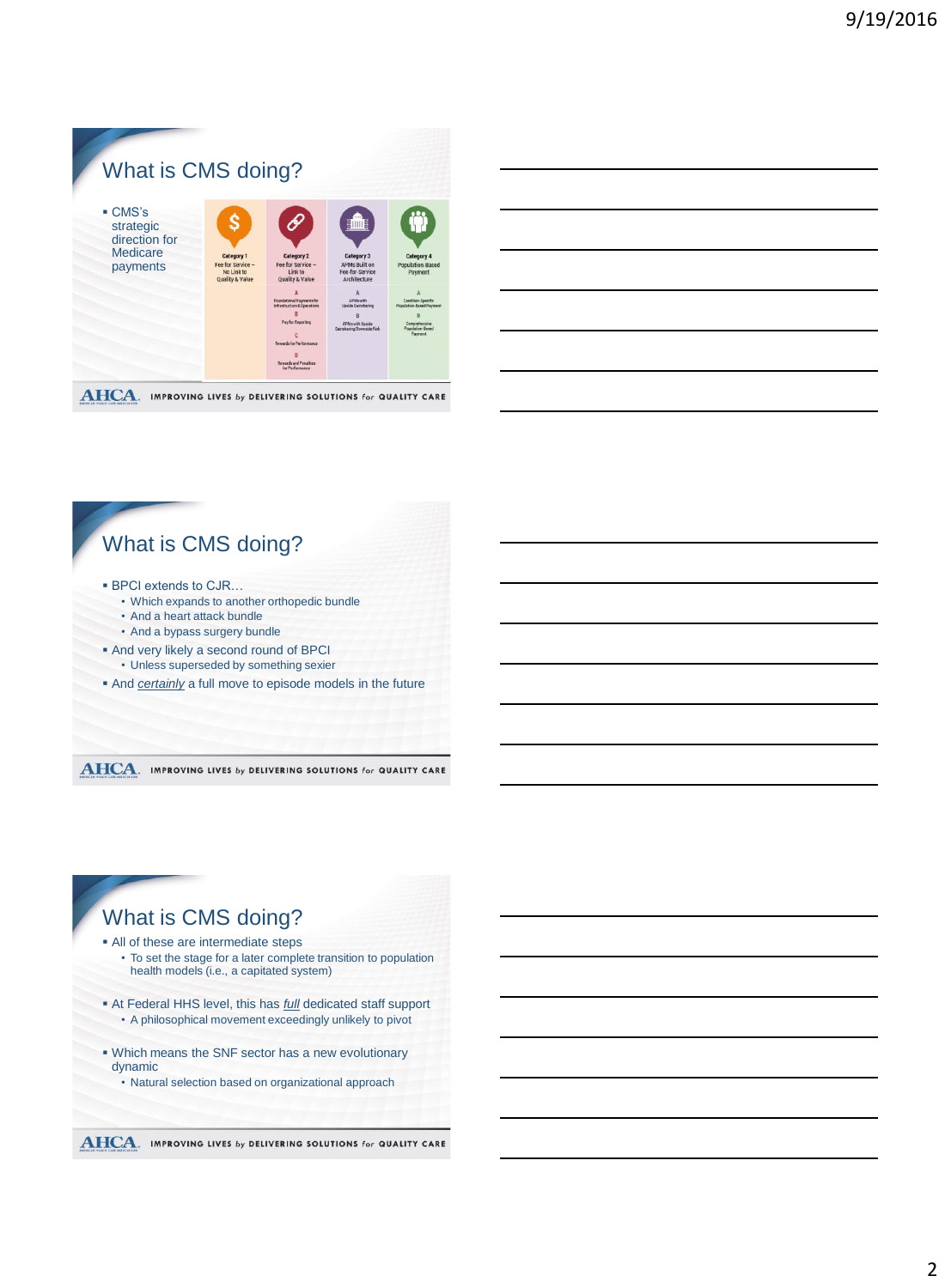

#### **AHCA**. IMPROVING LIVES by DELIVERING SOLUTIONS for QUALITY CARE

# What is CMS doing?

- BPCI extends to CJR...
	- Which expands to another orthopedic bundle
	- And a heart attack bundle
	- And a bypass surgery bundle
- And very likely a second round of BPCI • Unless superseded by something sexier
- And *certainly* a full move to episode models in the future

**AHCA.** IMPROVING LIVES by DELIVERING SOLUTIONS for QUALITY CARE

# What is CMS doing? All of these are intermediate steps

- To set the stage for a later complete transition to population health models (i.e., a capitated system)
- At Federal HHS level, this has *full* dedicated staff support • A philosophical movement exceedingly unlikely to pivot
- Which means the SNF sector has a new evolutionary dynamic
	- Natural selection based on organizational approach
- **AHCA.** IMPROVING LIVES by DELIVERING SOLUTIONS for QUALITY CARE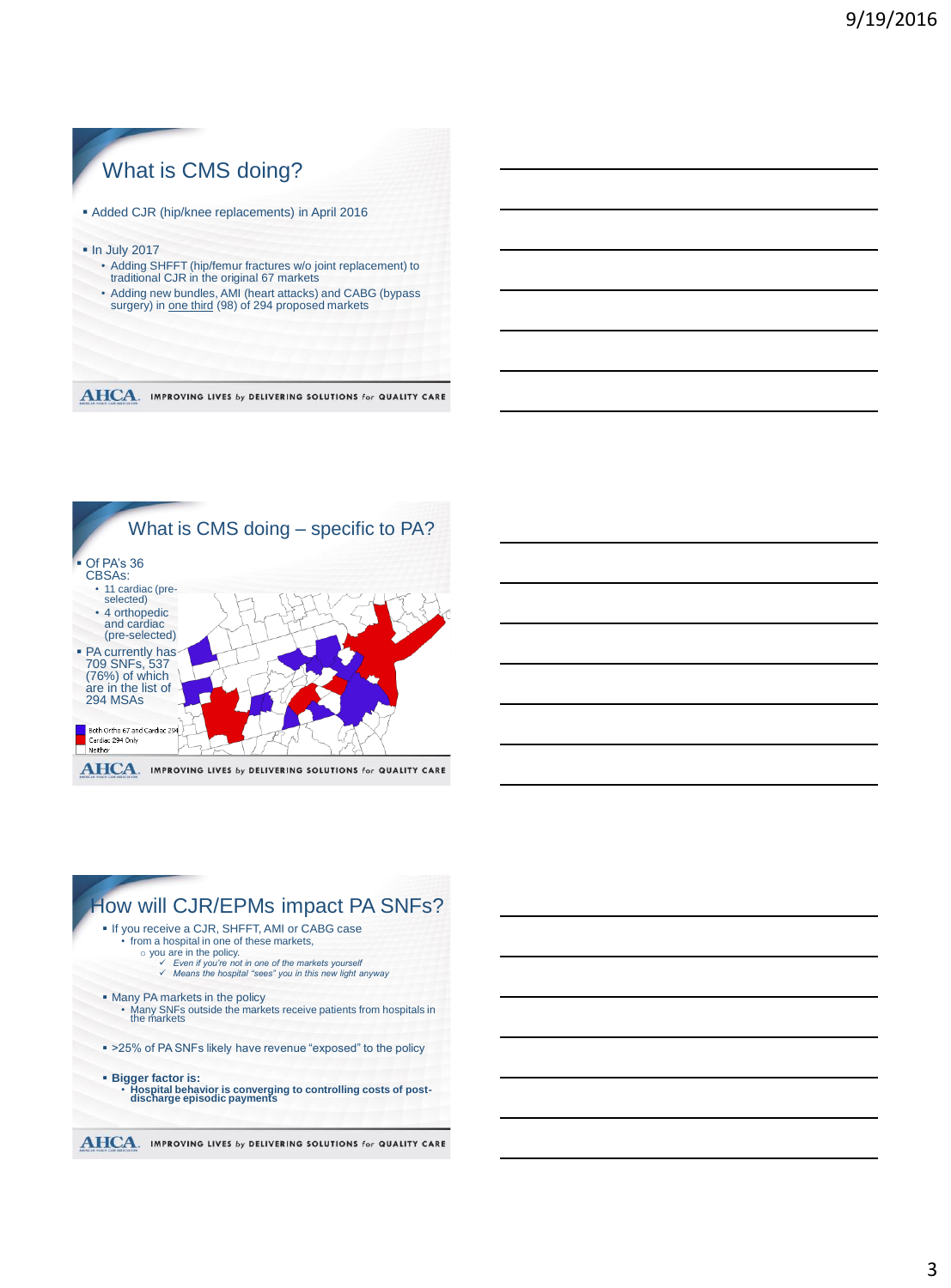



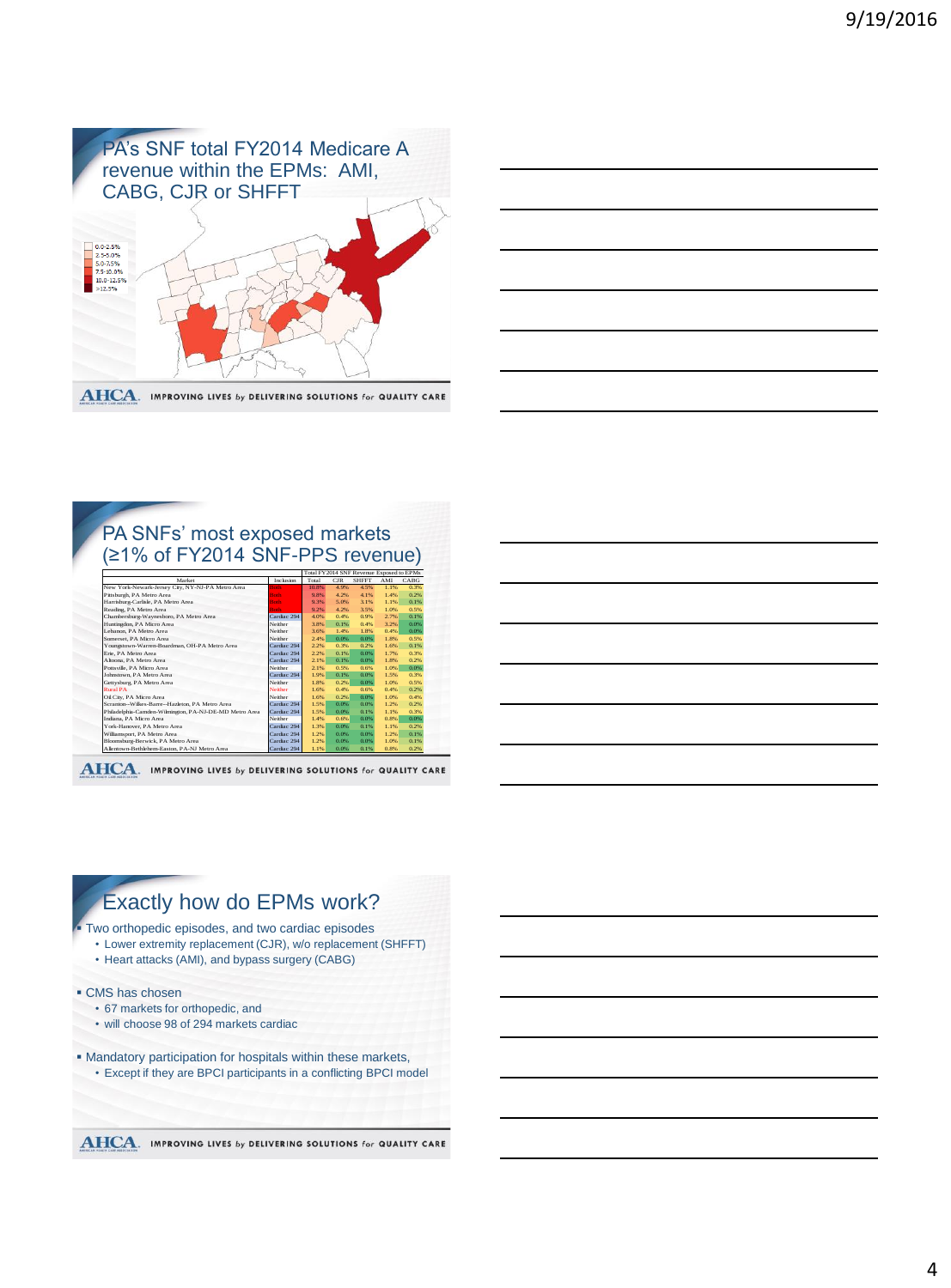



### PA SNFs' most exposed markets (≥1% of FY2014 SNF-PPS revenue)

| Market                                                 | Inclusion   | Total | CIR     | <b>SHFFT</b> | AMI  | <b>CABG</b> |
|--------------------------------------------------------|-------------|-------|---------|--------------|------|-------------|
| New York-Newark-Jersey City, NY-NJ-PA Metro Area       | <b>Roth</b> | 10.8% | 4.9%    | 4.5%         | 1.1% | 0.3%        |
| Pittsburgh, PA Metro Area                              | <b>Roth</b> | 9.8%  | 4.2%    | 4.1%         | 1.4% | 0.2%        |
| Harrisburg-Carlisle, PA Metro Area                     | <b>Both</b> | 9.3%  | 5.0%    | 3.1%         | 1.1% | 0.1%        |
| Reading, PA Metro Area                                 | <b>Roth</b> | 9.2%  | 4.2%    | 3.5%         | 1.0% | 0.5%        |
| Chambersburg-Waynesboro, PA Metro Area                 | Cardiac 294 | 4.0%  | 0.4%    | 0.9%         | 2.7% | 0.1%        |
| Huntingdon, PA Micro Area                              | Neither     | 3.8%  | 0.1%    | 0.4%         | 3.2% | 0.0%        |
| Lebanon, PA Metro Area                                 | Neither     | 3.6%  | 1.4%    | 1.8%         | 0.4% | 0.0%        |
| Somerset, PA Micro Area                                | Neither     | 2.4%  | 0.0%    | 0.0%         | 1.8% | 0.5%        |
| Youngstown-Warren-Boardman, OH-PA Metro Area           | Cardiac 294 | 2.2%  | 0.3%    | 0.2%         | 1.6% | 0.1%        |
| Erie, PA Metro Area                                    | Cardiac 294 | 2.2%  | 0.1%    | 0.0%         | 1.7% | 0.3%        |
| Altoona, PA Metro Area                                 | Cardiac 294 | 2.1%  | 0.1%    | 0.0%         | 1.8% | 0.2%        |
| Pottsville, PA Micro Area                              | Neither     | 2.1%  | 0.5%    | 0.6%         | 1.0% | 0.0%        |
| Johnstown, PA Metro Area                               | Cardiac 294 | 1.9%  | 0.1%    | 0.0%         | 1.5% | 0.3%        |
| Gettysburg, PA Metro Area                              | Neither     | 1.8%  | 0.2%    | 0.0%         | 1.0% | 0.5%        |
| <b>Rural PA</b>                                        | Neither     | 1.6%  | 0.4%    | 0.6%         | 0.4% | 0.2%        |
| Oil City, PA Micro Area                                | Neither     | 1.6%  | 0.2%    | 0.0%         | 1.0% | 0.4%        |
| Scranton--Wilkes-Barre--Hazleton, PA Metro Area        | Cardiac 294 | 1.5%  | 0.0%    | 0.0%         | 1.2% | 0.2%        |
| Philadelphia-Camden-Wilmington, PA-NJ-DE-MD Metro Area | Cardiac 294 | 1.5%  | $0.0\%$ | 0.1%         | 1.1% | 0.3%        |
| Indiana, PA Micro Area                                 | Neither     | 1.4%  | 0.6%    | 0.0%         | 0.8% | 0.0%        |
| York-Hanover, PA Metro Area                            | Cardiac 294 | 1.3%  | $0.0\%$ | 0.1%         | 1.1% | 0.2%        |
| Williamsport, PA Metro Area                            | Cardiac 294 | 1.2%  | 0.0%    | 0.0%         | 1.2% | 0.1%        |
| Bloomsburg-Berwick, PA Metro Area                      | Cardiac 294 | 1.2%  | 0.0%    | 0.0%         | 1.0% | 0.1%        |
| Allentown-Bethlehem-Easton, PA-NJ Metro Area           | Cardiac 294 | 1.1%  | 0.0%    | 0.1%         | 0.8% | 0.2%        |

**AHCA.** IMPROVING LIVES by DELIVERING SOLUTIONS for QUALITY CARE

# Exactly how do EPMs work? Two orthopedic episodes, and two cardiac episodes • Lower extremity replacement (CJR), w/o replacement (SHFFT) • Heart attacks (AMI), and bypass surgery (CABG) CMS has chosen • 67 markets for orthopedic, and • will choose 98 of 294 markets cardiac Mandatory participation for hospitals within these markets, • Except if they are BPCI participants in a conflicting BPCI model**AHCA.** IMPROVING LIVES by DELIVERING SOLUTIONS for QUALITY CARE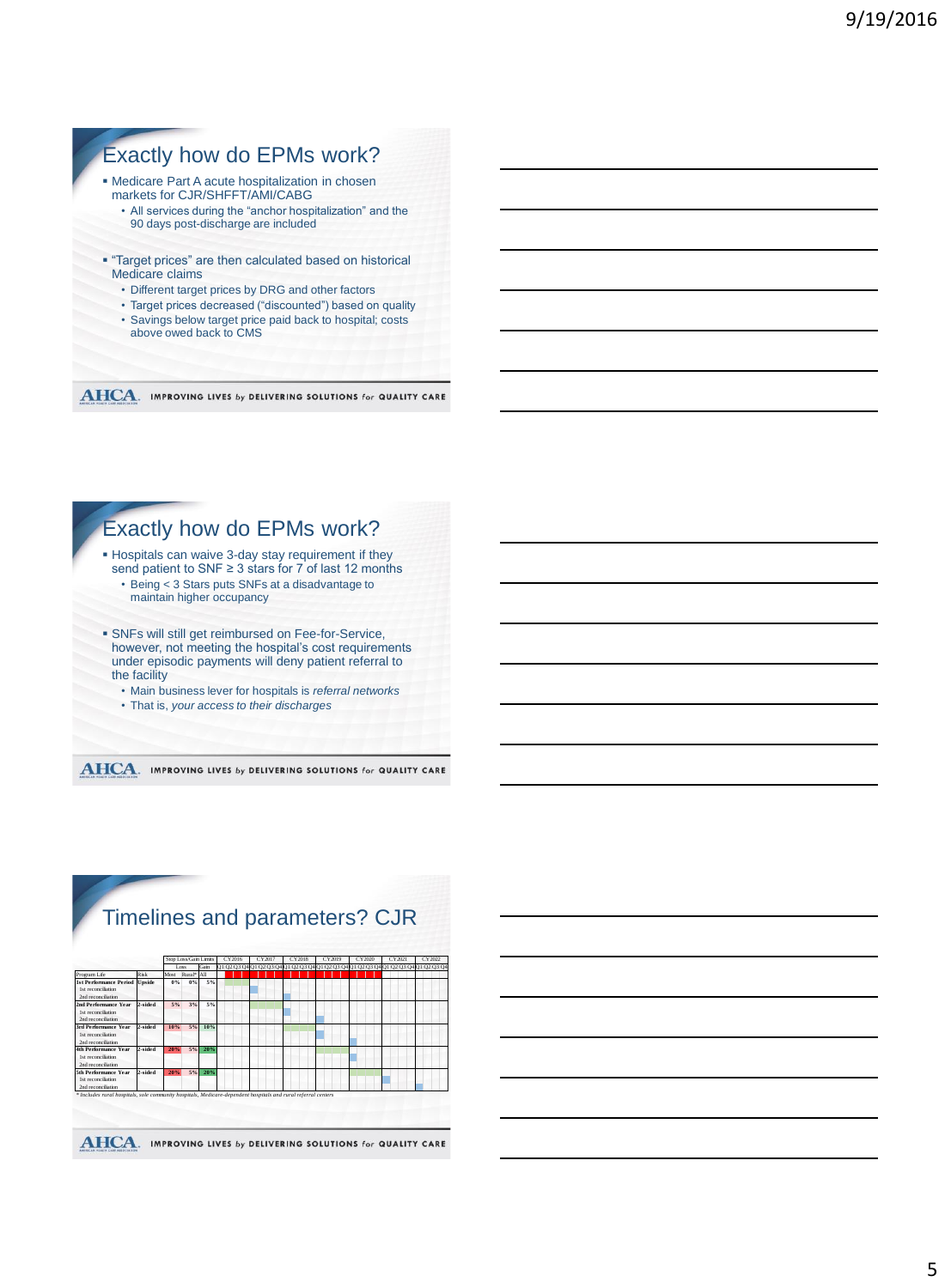# Exactly how do EPMs work?

- Medicare Part A acute hospitalization in chosen markets for CJR/SHFFT/AMI/CABG
	- All services during the "anchor hospitalization" and the 90 days post-discharge are included
- "Target prices" are then calculated based on historical Medicare claims
	- Different target prices by DRG and other factors
	- Target prices decreased ("discounted") based on quality
	- Savings below target price paid back to hospital; costs above owed back to CMS

AHCA. IMPROVING LIVES by DELIVERING SOLUTIONS for QUALITY CARE





# Timelines and parameters? CJR

|                                                                           |         |       | Stop Loss/Gain Limits  |      | CY2016 | CY2017 | CY2018 | CY2019                                                                              | CY2020 | CY2021 | CY2022 |
|---------------------------------------------------------------------------|---------|-------|------------------------|------|--------|--------|--------|-------------------------------------------------------------------------------------|--------|--------|--------|
|                                                                           |         |       | Loss                   | Gain |        |        |        | Q1 Q2 Q3 Q4 Q1 Q2 Q3 Q4 Q1 Q2 Q3 Q4 Q1 Q2 Q3 Q4 Q1 Q2 Q3 Q4 Q1 Q2 Q3 Q4 Q1 Q2 Q3 Q4 |        |        |        |
| Program Life                                                              | Risk    | Most  | Rural <sup>*</sup> All |      |        |        |        |                                                                                     |        |        |        |
| <b>1st Performance Period</b><br>1st reconciliation<br>2nd reconciliation | Unside  | $0\%$ | $0\%$                  | 5%   |        |        |        |                                                                                     |        |        |        |
| 2nd Performance Year<br>1st reconciliation<br>2nd reconciliation          | 2-sided | 5%    | 3%                     | 5%   |        |        |        |                                                                                     |        |        |        |
| 3rd Performance Year<br>1st reconciliation<br>2nd reconciliation          | 2-sided | 10%   | 5%                     | 10%  |        |        |        |                                                                                     |        |        |        |
| <b>4th Performance Year</b><br>1st reconciliation<br>2nd reconciliation   | 2-sided | 20%   | 5%                     | 20%  |        |        |        |                                                                                     |        |        |        |
| 5th Performance Year<br>1st reconciliation<br>2nd reconciliation          | 2-sided | 20%   | 5%                     | 20%  |        |        |        |                                                                                     |        |        |        |

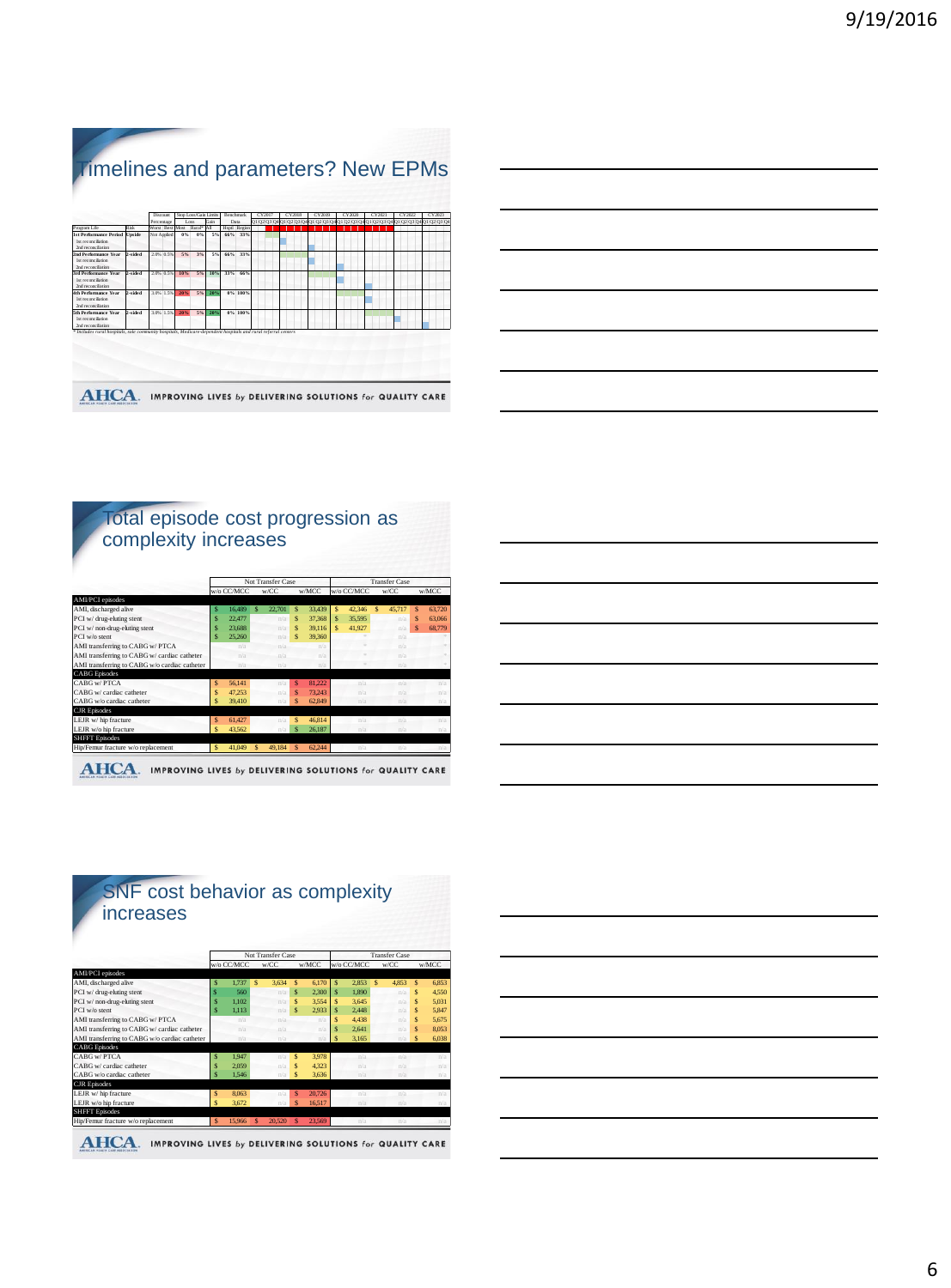# Timelines and parameters? New EPMs

| 0102030401020304010203040102030401020304010203040102030401020304<br>Gain<br>Percentage<br>Data<br>Loss<br>Program Life<br>Risk<br>Word Red<br>Rural* AI<br>Hsetl Region<br>Most<br><b>1st Performance Period</b><br>$0\%$<br>66% 33%<br>Unside<br>Not Arelied<br>6%<br>5%<br><b>Ist reconciliation</b><br>2nd reconciliation |  |
|------------------------------------------------------------------------------------------------------------------------------------------------------------------------------------------------------------------------------------------------------------------------------------------------------------------------------|--|
|                                                                                                                                                                                                                                                                                                                              |  |
|                                                                                                                                                                                                                                                                                                                              |  |
|                                                                                                                                                                                                                                                                                                                              |  |
| 2-sided<br>2.0% 0.5%<br>5%<br>3%<br>5%<br>66%<br>33%<br>2nd Performance Year<br><b>Ist reconciliation</b><br><b>2nd reconciliation</b>                                                                                                                                                                                       |  |
| <b>3rd Performance Year</b><br>2-sided<br>2.0% 0.5%<br>10%<br>5%<br>10%<br>33%<br>66%<br>lst reconciliation<br>2nd reconciliation                                                                                                                                                                                            |  |
| 2-sided<br>3.0% 1.5%<br>0% 100%<br>4th Performance Vese<br>20%<br>5%<br>20%<br><b>Ist reconciliation</b><br>2nd reconciliation                                                                                                                                                                                               |  |
| 2-sided<br>3.0% 1.5%<br>28%<br>5%<br>0% 100%<br>5th Performance Vese-<br>20%<br><b>Ist reconciliation</b><br>2nd reconciliation                                                                                                                                                                                              |  |

#### Total episode cost progression as complexity increases

|                                               |   |            |              | Not Transfer Case |              |        |   |            |   | <b>Transfer Case</b> |              |        |
|-----------------------------------------------|---|------------|--------------|-------------------|--------------|--------|---|------------|---|----------------------|--------------|--------|
|                                               |   | w/o CC/MCC |              | w/CC              |              | w/MCC  |   | w/o CC/MCC |   | w/CC                 |              | w/MCC  |
| AMI/PCI episodes                              |   |            |              |                   |              |        |   |            |   |                      |              |        |
| AMI, discharged alive                         | s | 16,489     | $\mathbf{s}$ | 22.701            | $\mathbf{s}$ | 33,439 | s | 42.346     | Ś | 45.717               | $\mathbf{s}$ | 63.720 |
| PCI w/ drug-eluting stent                     |   | 22,477     |              | n/a               | $\mathbf{s}$ | 37.368 | s | 35.595     |   | n/a                  | s            | 63,066 |
| PCI w/ non-drug-eluting stent                 |   | 23,688     |              | n/a               | $\mathbf{s}$ | 39.116 | S | 41.927     |   | n/a                  | $\mathbf{s}$ | 68.779 |
| PCI w/o stent                                 | s | 25.260     |              | n/a               | $\mathbf{s}$ | 39.360 |   |            |   | n/a                  |              |        |
| AMI transferring to CABG w/ PTCA              |   | n/a        |              | n/a               |              | n/a    |   |            |   | n/a                  |              |        |
| AMI transferring to CABG w/ cardiac catheter  |   | n/n        |              | n/n               |              | n/n    |   |            |   | n/a                  |              |        |
| AMI transferring to CABG w/o cardiac catheter |   | n/a        |              | n/a               |              | n/a    |   |            |   | n/a                  |              |        |
| <b>CABG</b> Episodes                          |   |            |              |                   |              |        |   |            |   |                      |              |        |
| CABG w/PTCA                                   | S | 56.141     |              | n/a               | $\mathbf{s}$ | 81.222 |   | n/a        |   | n/a                  |              | n/a    |
| CABG w/ cardiac catheter                      | Ś | 47.253     |              | n/a               | $\mathbf{s}$ | 73.243 |   | n/a        |   | n/a                  |              | n/a    |
| CABG w/o cardiac catheter                     | Ś | 39.410     |              | n/a               | S            | 62.849 |   | n/a        |   | n/a                  |              | n/a    |
| <b>CJR</b> Episodes                           |   |            |              |                   |              |        |   |            |   |                      |              |        |
| LEJR w/hip fracture                           | S | 61.427     |              | n/a               | $\mathbf{s}$ | 46.814 |   | n/a        |   | n/a                  |              | n/a    |
| LEJR w/o hip fracture                         | Ś | 43.562     |              | n/a               | $\mathbf{s}$ | 26.187 |   | n/a        |   | n/a                  |              | n/a    |
| <b>SHFFT</b> Episodes                         |   |            |              |                   |              |        |   |            |   |                      |              |        |
| Hip/Femur fracture w/o replacement            | S | 41,049     | $\mathbf{s}$ | 49.184            | S            | 62.244 |   | n/a        |   | n/a                  |              | n/s    |

| <u> 1989 - Johann Stoff, deutscher Stoff, der Stoff, der Stoff, der Stoff, der Stoff, der Stoff, der Stoff, der S</u> |  |  |  |
|-----------------------------------------------------------------------------------------------------------------------|--|--|--|
|                                                                                                                       |  |  |  |
| <u> 1989 - Johann Stoff, deutscher Stoff, der Stoff, der Stoff, der Stoff, der Stoff, der Stoff, der Stoff, der S</u> |  |  |  |
| <u> 1989 - Johann Stoff, Amerikaansk politiker (</u>                                                                  |  |  |  |
| <u> 1989 - Johann Harry Harry Harry Harry Harry Harry Harry Harry Harry Harry Harry Harry Harry Harry Harry Harry</u> |  |  |  |
|                                                                                                                       |  |  |  |

#### increases Not Transfer Case Transfer Case w/o CC/MCC w/CC w/MCC w/o CC/MCC w/CC w/MCC AMI/PCI episodes AMI, discharged alive \$ 1,737 \$ 3,634 \$ 6,170 \$ 2,853 \$ 4,853 \$ 6,853 PCI w/ drug-eluting stent \$ 560 n/a \$ 2,300 \$ 1,890 n/a \$ 4,550 Propose a contracting stemt that the stead of the stead of the stead of the stead of the stead of the stead of the stead of the stead of the stead of the stead of the stead of the stead of the stead of the stead of the ste **PCI w/o stent 5 1,113 n/a \$ 2,933 \$ 2,448** n/a \$ 5,847 **AMI TRANSFERRING THE CABG W/ PTCA** n/a n/a n/a n/a n/a **5 4,438** n/a **5 5,675** n/a n/a **5 7,675** n/a n/a **5 7,675** AMI transferring to CABG w/ cardiac catheter n/a n/a n/a n/a  $\sqrt{2}$ ,  $\sqrt{6}$  n/a  $\sqrt{3}$  8,053 AMI transferring to CABG w/o cardiac catheter n/a n/a n/a  $\frac{1}{8}$  5 3,165 n/a \$ 6,038 CABG Episodes  $\text{CABG}$  w/ PTCA  $\text{S}$  1,947 n/a  $\text{S}$  3,978 n/a n/a n/a n/a CABG w/ cardiac catheter  $\begin{vmatrix} s & 2,059 \end{vmatrix}$  n/a  $\begin{vmatrix} s & 4,323 \end{vmatrix}$  n/a n/a n/a **CABG w/o cardiac catheter**  $\begin{vmatrix} S & 1,546 \\ 1,64 \end{vmatrix}$  **n/a n/a n/a n/a** n/a CJR Episodes LEJR w/ hip fracture \$ 8,063 n/a \$ 20,726 n/a n/a n/a LEJR w/o hip fracture \$ 3,672 n/a \$ 16,517 n/a n/a n/a SHFFT Episodes Hip/Femur fracture w/o replacement \$ 15,966 \$ 20,520 \$ 23,569 n/a n/a n/a n/a AHCA. IMPROVING LIVES by DELIVERING SOLUTIONS for QUALITY CARE

SNF cost behavior as complexity

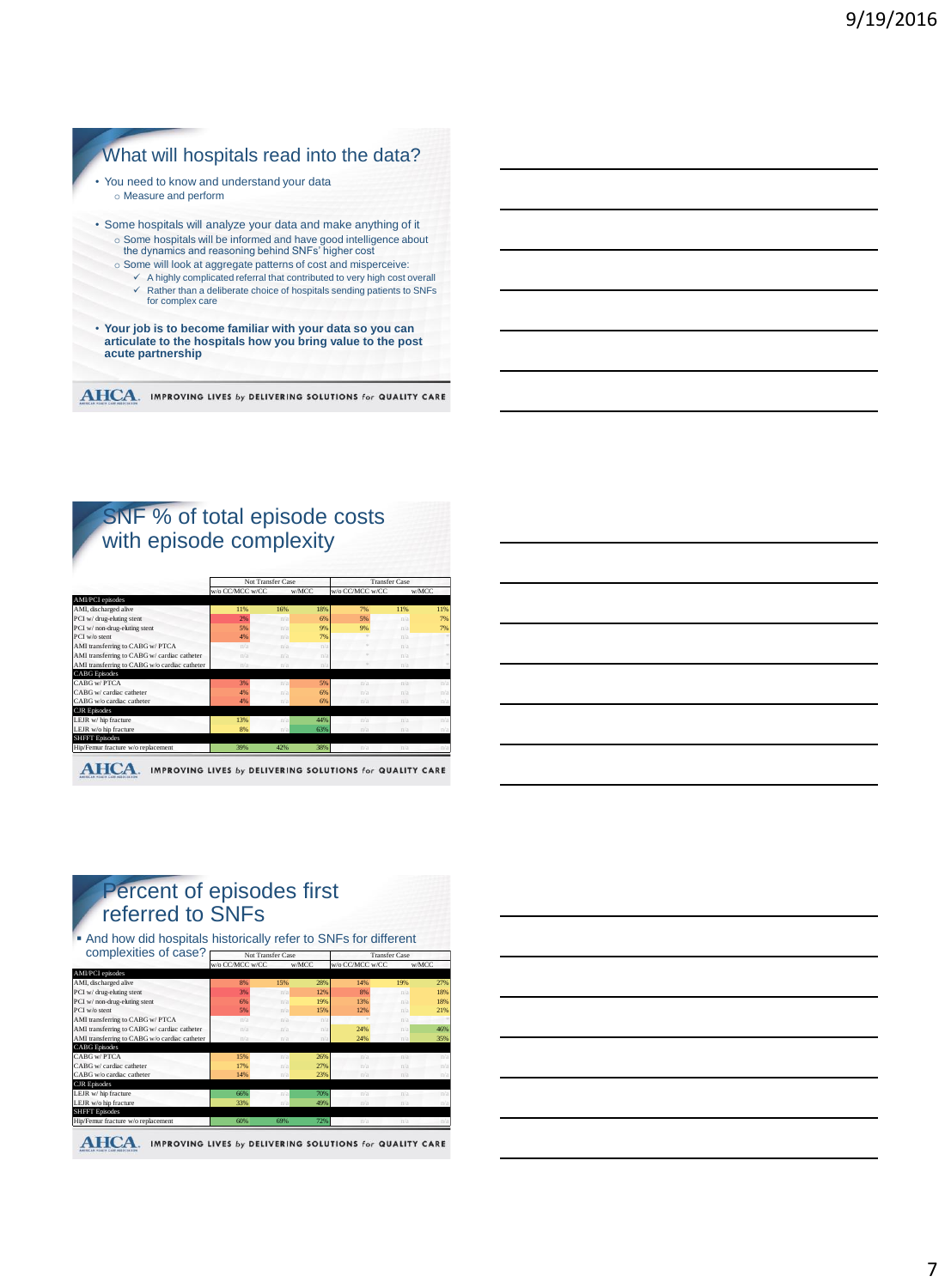### What will hospitals read into the data? • You need to know and understand your data o Measure and perform • Some hospitals will analyze your data and make anything of it o Some hospitals will be informed and have good intelligence about the dynamics and reasoning behind SNFs' higher cost o Some will look at aggregate patterns of cost and misperceive:  $\checkmark$  A highly complicated referral that contributed to very high cost overall  $\checkmark$  Rather than a deliberate choice of hospitals sending patients to SNFs for complex care • **Your job is to become familiar with your data so you can articulate to the hospitals how you bring value to the post acute partnership**

**AHCA.** IMPROVING LIVES by DELIVERING SOLUTIONS for QUALITY CARE

# SNF % of total episode costs with episode complexity

|                                               | Not Transfer Case |     |       | <b>Transfer Case</b> |     |       |
|-----------------------------------------------|-------------------|-----|-------|----------------------|-----|-------|
|                                               | w/o CC/MCC w/CC   |     | w/MCC | w/o CC/MCC w/CC      |     | w/MCC |
| AMI/PCI episodes                              |                   |     |       |                      |     |       |
| AMI, discharged alive                         | 11%               | 16% | 18%   | 7%                   | 11% | 11%   |
| PCI w/ drug-eluting stent                     | 2%                | n/a | 6%    | 5%                   | n/a | 7%    |
| PCI w/ non-drug-eluting stent                 | 5%                | n/a | 9%    | 9%                   | n/a | 7%    |
| PCI w/o stent                                 | 4%                | n/a | 7%    |                      | n/a |       |
| AMI transferring to CABG w/ PTCA              | n/a               | n/a | n/s   |                      | n/a |       |
| AMI transferring to CABG w/ cardiac catheter  | n/a               | n/a | n/s   |                      | n/a |       |
| AMI transferring to CABG w/o cardiac catheter | n/a               | n/a | n/s   |                      | n/a |       |
| <b>CABG</b> Episodes                          |                   |     |       |                      |     |       |
| CABG w/PTCA                                   | 3%                | n/a | 5%    | n/s                  | n/a | n/s   |
| CABG w/ cardiac catheter                      | 4%                | n/a | 6%    | n/a                  | n/s | n/a   |
| CABG w/o cardiac catheter                     | 4%                | n/a | 6%    | n/a                  | n/a | n/a   |
| <b>CJR</b> Episodes                           |                   |     |       |                      |     |       |
| LEJR w/ hip fracture                          | 13%               | n/a | 44%   | n/a                  | n/s | n/a   |
| LEJR w/o hip fracture                         | 8%                | n/a | 63%   | n/a                  | n/a | n/a   |
| <b>SHFFT</b> Episodes                         |                   |     |       |                      |     |       |
| Hip/Femur fracture w/o replacement            | 39%               | 42% | 38%   | n/a                  | n/a |       |

## Percent of episodes first referred to SNFs

 And how did hospitals historically refer to SNFs for different complexities of case? Not Transfer Case Transfer Case

|                                               | w/o CC/MCC w/CC |     | w/MCC                   | w/o CC/MCC w/CC |     | w/MCC |
|-----------------------------------------------|-----------------|-----|-------------------------|-----------------|-----|-------|
| AMI/PCI episodes                              |                 |     |                         |                 |     |       |
| AMI, discharged alive                         | 8%              | 15% | 28%                     | 14%             | 19% | 27%   |
| PCI w/ drug-eluting stent                     | 3%              | n/a | 12%                     | 8%              | n/a | 18%   |
| PCI w/ non-drug-eluting stent                 | 6%              | n/a | 19%                     | 13%             | n/a | 18%   |
| PCI w/o stent                                 | 5%              | n/a | 15%                     | 12%             | n/a | 21%   |
| AMI transferring to CABG w/ PTCA              | n/a             | n/a | n/s                     |                 | n/a |       |
| AMI transferring to CABG w/ cardiac catheter  | n/a             | n/a | n/s                     | 24%             | n/a | 46%   |
| AMI transferring to CABG w/o cardiac catheter | n/a             | n/a | $\mathbb{D}/\mathbb{S}$ | 24%             | n/a | 35%   |
| <b>CABG</b> Episodes                          |                 |     |                         |                 |     |       |
| CABG w/PTCA                                   | 15%             | n/a | 26%                     | n/a             | n/a | n/a   |
| CABG w/ cardiac catheter                      | 17%             | n/a | 27%                     | n/a             | n/s | n/a   |
| CABG w/o cardiac catheter                     | 14%             | n/a | 23%                     | n/a             | n/a | n/a   |
| <b>CJR</b> Episodes                           |                 |     |                         |                 |     |       |
| LEJR w/ hip fracture                          | 66%             | n/a | 70%                     | n/a             | n/a | n/a   |
| LEJR w/o hip fracture                         | 33%             | n/a | 49%                     | n/a             | n/a | n/a   |
| <b>SHFFT</b> Episodes                         |                 |     |                         |                 |     |       |
| Hip/Femur fracture w/o replacement            | 60%             | 69% | 72%                     | n/a             | n/a |       |

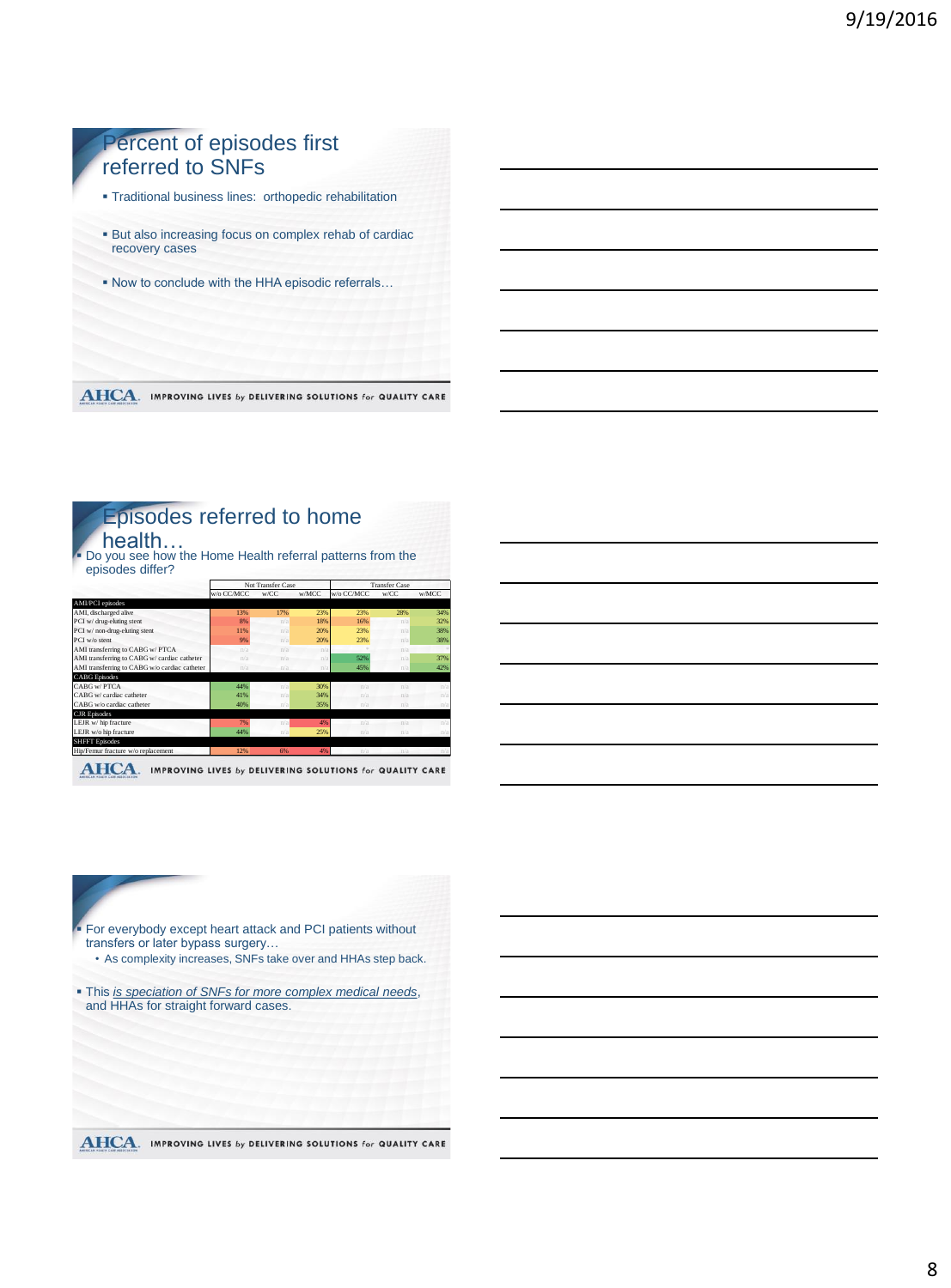# Percent of episodes first referred to SNFs Traditional business lines: orthopedic rehabilitation But also increasing focus on complex rehab of cardiac recovery cases Now to conclude with the HHA episodic referrals…

**AHCA**. IMPROVING LIVES by DELIVERING SOLUTIONS for QUALITY CARE

# Episodes referred to home

health… Do you see how the Home Health referral patterns from the episodes differ?

|                                               | Not Transfer Case |                         |        | <b>Transfer Case</b> |                         |       |
|-----------------------------------------------|-------------------|-------------------------|--------|----------------------|-------------------------|-------|
|                                               | w/o CC/MCC        | w/CC                    | w/MCC  | w/o CC/MCC           | w/CC                    | w/MCC |
| AMI/PCI episodes                              |                   |                         |        |                      |                         |       |
| AMI, discharged alive                         | 13%               | 17%                     | 23%    | 23%                  | 28%                     | 34%   |
| PCI w/ drug-eluting stent                     | 8%                | n/a                     | 18%    | 16%                  | n/a                     | 32%   |
| PCI w/ non-drug-eluting stent                 | 11%               | n/a                     | 20%    | 23%                  | n/a                     | 38%   |
| PCI w/o stent                                 | 9%                | n/a                     | 20%    | 23%                  | n/a                     | 38%   |
| AMI transferring to CABG w/ PTCA              | n/a               | $\mathbb{n}/\mathbb{a}$ | n/a    |                      | $\pi/a$                 |       |
| AMI transferring to CABG w/ cardiac catheter  | n/a               | n/a                     | n/s    | 52%                  | n/a                     | 37%   |
| AMI transferring to CABG w/o cardiac catheter | n/a               | n/a                     | $n$ /a | 45%                  | n/a                     | 42%   |
| <b>CABG</b> Episodes                          |                   |                         |        |                      |                         |       |
| CABG w/ PTCA                                  | 44%               | n/a                     | 30%    | n/n                  | n/a                     | n/a   |
| CABG w/ cardiac catheter                      | 41%               | n/a                     | 34%    | n/s                  | n/a                     | n/a   |
| CABG w/o cardiac catheter                     | 40%               | n/a                     | 35%    | n/a                  | n/a                     | n/a   |
| <b>CJR</b> Episodes                           |                   |                         |        |                      |                         |       |
| LEJR w/hip fracture                           | 7%                | n/a                     | 4%     | n/s                  | $\mathbb{n}/\mathbb{a}$ | n/a   |
| LEJR w/o hip fracture                         | 44%               | n/a                     | 25%    | n/a                  | n/a                     | n/a   |
| <b>SHFFT</b> Episodes                         |                   |                         |        |                      |                         |       |
| Hip/Femur fracture w/o replacement            | 12%               | 6%                      | 4%     | n/a                  | $n/a-$                  | n/a   |

**AHCA.** IMPROVING LIVES by DELIVERING SOLUTIONS for QUALITY CARE

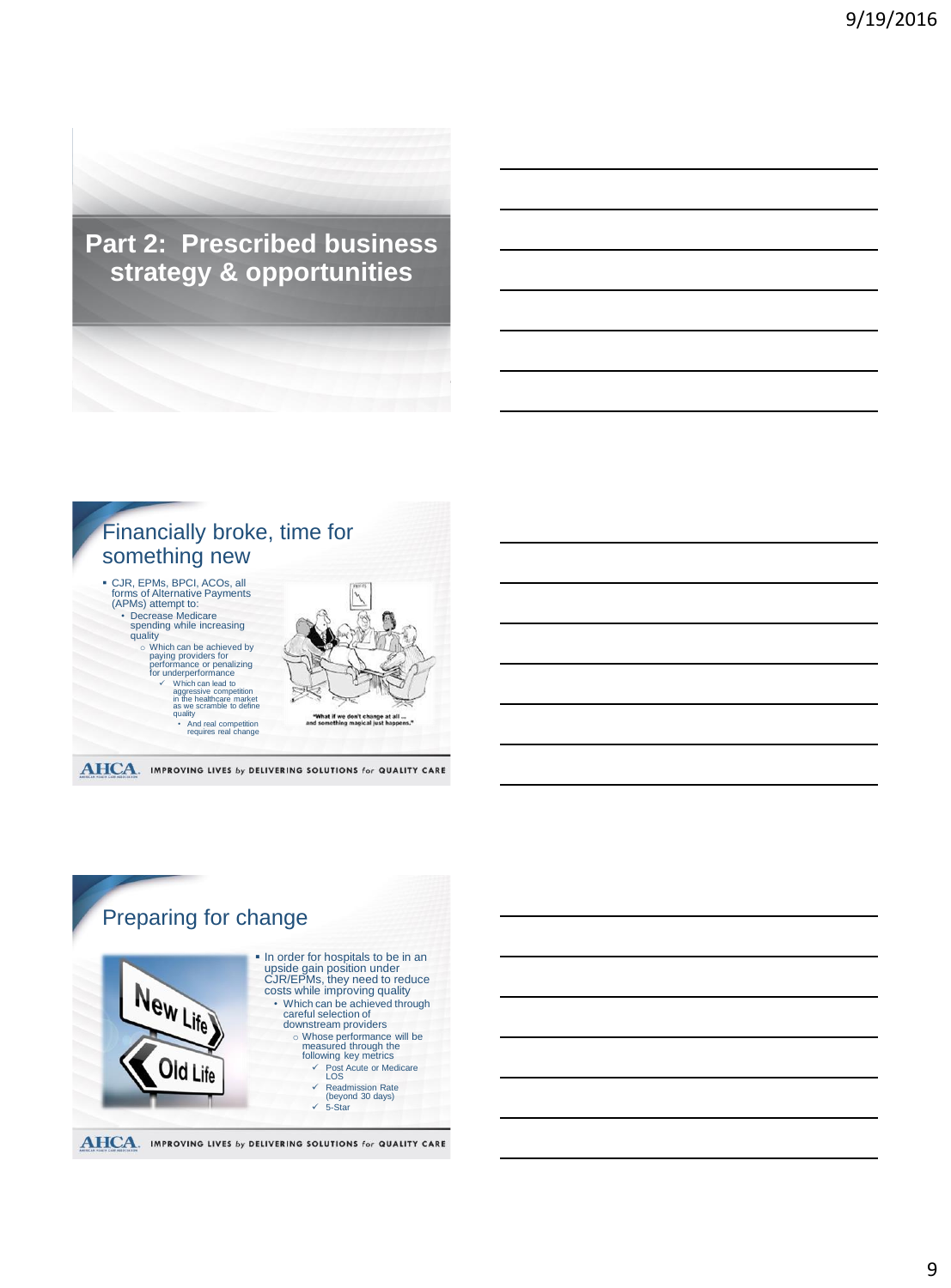**Part 2: Prescribed business strategy & opportunities**



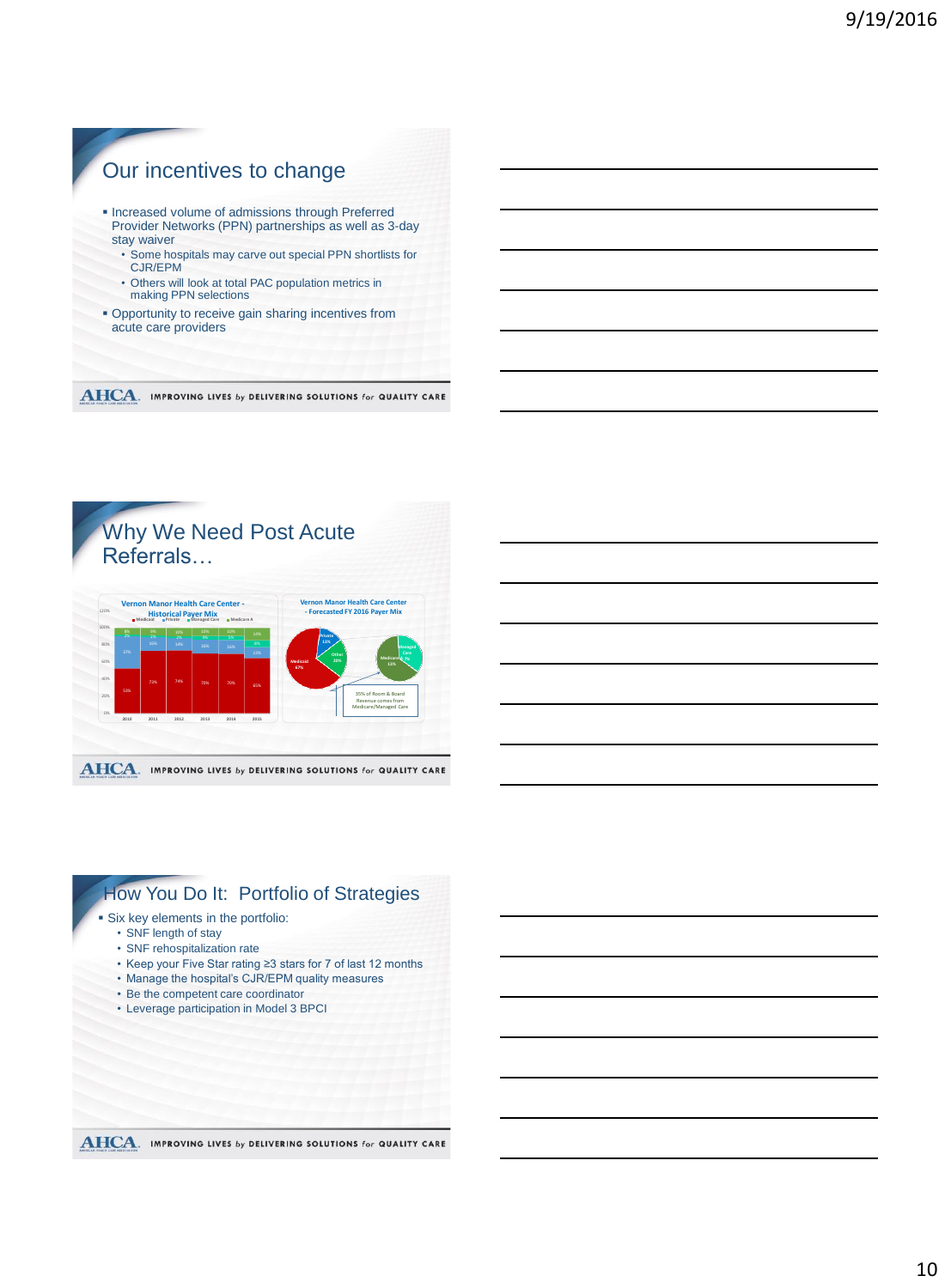

## Why We Need Post Acute Referrals…



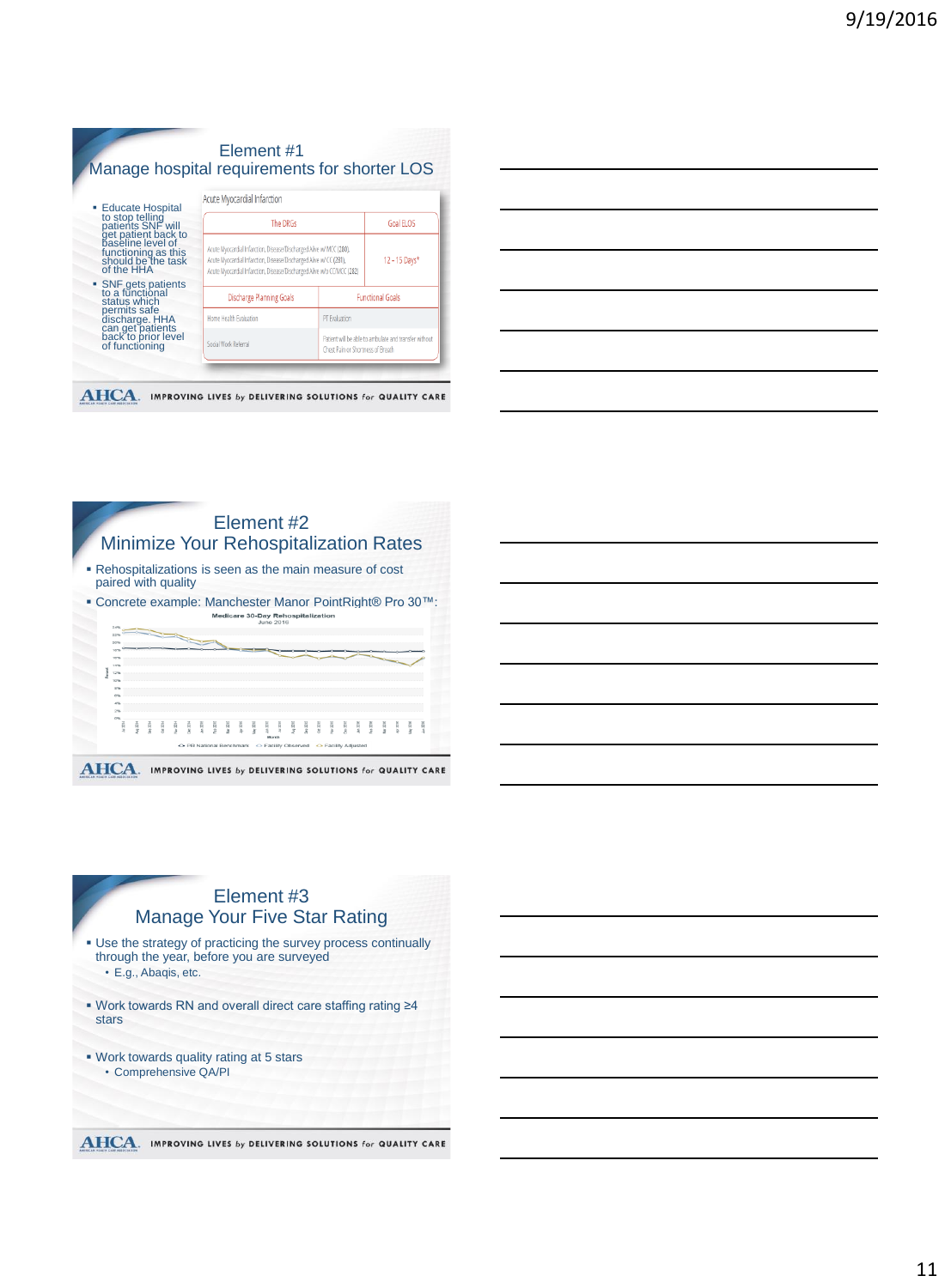| <b>Educate Hospital</b>                                                          | Acute Myocardial Infarction                                                                                                                                                                                         |                                   |                                                       |  |
|----------------------------------------------------------------------------------|---------------------------------------------------------------------------------------------------------------------------------------------------------------------------------------------------------------------|-----------------------------------|-------------------------------------------------------|--|
| to stop telling<br>patients SNF will<br>get patient back to<br>paseline level of | The DRGs                                                                                                                                                                                                            |                                   | Goal FLOS                                             |  |
| functioning as this<br>should be the task<br>of the HHA                          | Acute Myocardial Infarction, Disease/Discharged Alive w/ MCC (280).<br>Acute Myocardial Infarction, Disease/Discharged Alive w/ CC (281),<br>Acute Myocardial Infarction, Disease/Discharged Alive w/o CC/MCC (282) | 12 - 15 Days*                     |                                                       |  |
| • SNF gets patients<br>to a functional<br>status which                           | <b>Discharge Planning Goals</b>                                                                                                                                                                                     |                                   | <b>Functional Goals</b>                               |  |
| permits safe                                                                     | Home Health Evaluation                                                                                                                                                                                              | PT Evaluation                     |                                                       |  |
| discharge. HHA<br>can get patients<br>back to prior level<br>of functioning      | Social Work Referral                                                                                                                                                                                                | Chest Pain or Shortness of Breath | Patient will be able to ambulate and transfer without |  |

**AHCA.** IMPROVING LIVES by DELIVERING SOLUTIONS for QUALITY CARE





 Work towards quality rating at 5 stars • Comprehensive QA/PI

**AHCA**. IMPROVING LIVES by DELIVERING SOLUTIONS for QUALITY CARE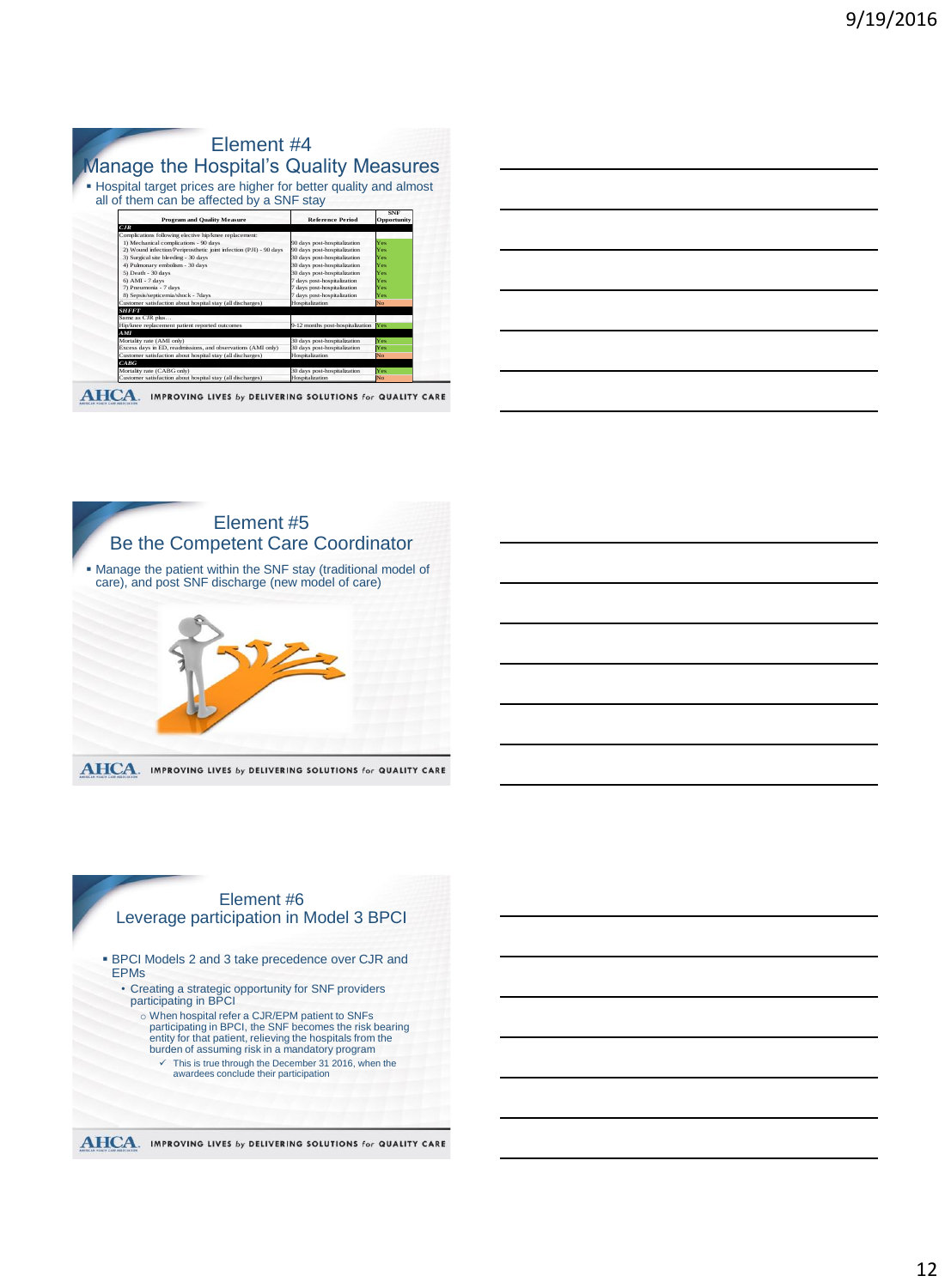| Element #4<br><b>Manage the Hospital's Quality Measures</b>                                                    |                                      |                           |
|----------------------------------------------------------------------------------------------------------------|--------------------------------------|---------------------------|
| • Hospital target prices are higher for better quality and almost<br>all of them can be affected by a SNF stay |                                      |                           |
| <b>Program and Ouality Measure</b>                                                                             | <b>Reference Period</b>              | <b>SNF</b><br>Opportunity |
| CIR<br>Complications following elective hip/knee replacement:                                                  |                                      |                           |
| 1) Mechanical complications - 90 days                                                                          | 90 days post-hospitalization         | Yes                       |
| 2) Wound infection/Periprosthetic joint infection (PJI) - 90 days                                              | 90 days post-hospitalization         | Yes                       |
| 3) Surgical site bleeding - 30 days                                                                            | 30 days post-hospitalization         | Yes                       |
| 4) Pulmonary embolism - 30 days                                                                                | 30 days post-hospitalization         | Yes                       |
| 5) Death - 30 days                                                                                             | 30 days post-hospitalization         | Yes                       |
| $6$ AMI - $7$ days                                                                                             | 7 days post-hospitalization          | Yes                       |
| 7) Pneumonia - 7 days                                                                                          | 7 days post-hospitalization          | Yes                       |
| 8) Sepsis/septicemia/shock - 7days                                                                             | 7 days post-hospitalization          | Yes                       |
| Customer satisfaction about hospital stay (all discharges)                                                     | Hospitalization                      | No                        |
| <b>SHFFT</b>                                                                                                   |                                      |                           |
| Same as CJR plus                                                                                               |                                      |                           |
| Hip/knee replacement patient reported outcomes                                                                 | 9-12 months post-hospitalization Yes |                           |
| AM                                                                                                             |                                      |                           |
| Mortality rate (AMI only)                                                                                      | 30 days post-hospitalization         | Yes                       |
| Excess days in ED, readmissions, and observations (AMI only)                                                   | 30 days post-hospitalization         | Yes                       |
| Customer satisfaction about hospital stay (all discharges)                                                     | Hospitalization                      | No                        |
| CARG                                                                                                           |                                      |                           |
| Mortality rate (CABG only)                                                                                     | 30 days post-hospitalization         | Yes                       |
| Customer satisfaction about hospital stay (all discharges)                                                     | Hospitalization                      | No                        |